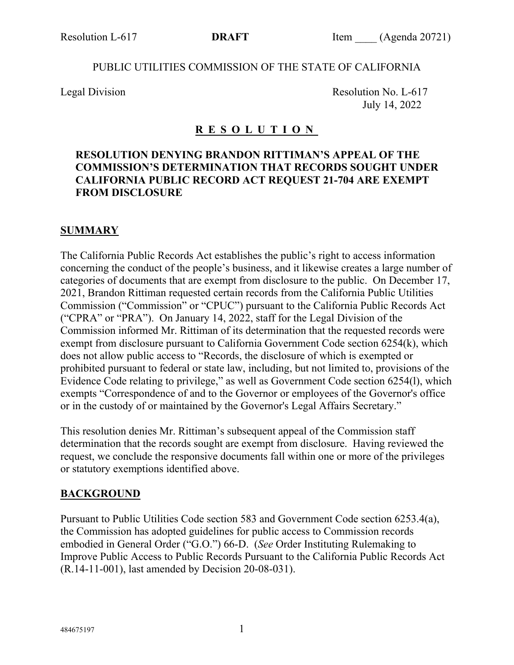#### PUBLIC UTILITIES COMMISSION OF THE STATE OF CALIFORNIA

Legal Division Resolution No. L-617 July 14, 2022

## **R E S O L U T I O N**

## **RESOLUTION DENYING BRANDON RITTIMAN'S APPEAL OF THE COMMISSION'S DETERMINATION THAT RECORDS SOUGHT UNDER CALIFORNIA PUBLIC RECORD ACT REQUEST 21-704 ARE EXEMPT FROM DISCLOSURE**

#### **SUMMARY**

The California Public Records Act establishes the public's right to access information concerning the conduct of the people's business, and it likewise creates a large number of categories of documents that are exempt from disclosure to the public. On December 17, 2021, Brandon Rittiman requested certain records from the California Public Utilities Commission ("Commission" or "CPUC") pursuant to the California Public Records Act ("CPRA" or "PRA"). On January 14, 2022, staff for the Legal Division of the Commission informed Mr. Rittiman of its determination that the requested records were exempt from disclosure pursuant to California Government Code section 6254(k), which does not allow public access to "Records, the disclosure of which is exempted or prohibited pursuant to federal or state law, including, but not limited to, provisions of the Evidence Code relating to privilege," as well as Government Code section 6254(l), which exempts "Correspondence of and to the Governor or employees of the Governor's office or in the custody of or maintained by the Governor's Legal Affairs Secretary."

This resolution denies Mr. Rittiman's subsequent appeal of the Commission staff determination that the records sought are exempt from disclosure. Having reviewed the request, we conclude the responsive documents fall within one or more of the privileges or statutory exemptions identified above.

### **BACKGROUND**

Pursuant to Public Utilities Code section 583 and Government Code section 6253.4(a), the Commission has adopted guidelines for public access to Commission records embodied in General Order ("G.O.") 66-D. (*See* Order Instituting Rulemaking to Improve Public Access to Public Records Pursuant to the California Public Records Act (R.14-11-001), last amended by Decision 20-08-031).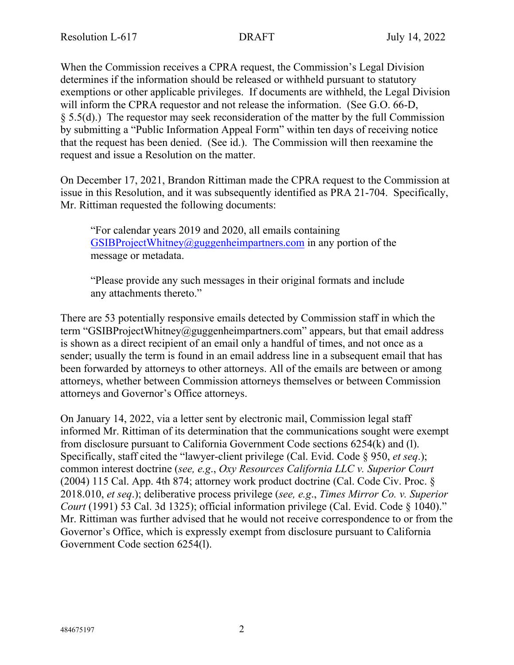When the Commission receives a CPRA request, the Commission's Legal Division determines if the information should be released or withheld pursuant to statutory exemptions or other applicable privileges. If documents are withheld, the Legal Division will inform the CPRA requestor and not release the information. (See G.O. 66-D, § 5.5(d).) The requestor may seek reconsideration of the matter by the full Commission by submitting a "Public Information Appeal Form" within ten days of receiving notice that the request has been denied. (See id.). The Commission will then reexamine the request and issue a Resolution on the matter.

On December 17, 2021, Brandon Rittiman made the CPRA request to the Commission at issue in this Resolution, and it was subsequently identified as PRA 21-704. Specifically, Mr. Rittiman requested the following documents:

"For calendar years 2019 and 2020, all emails containing [GSIBProjectWhitney@guggenheimpartners.com](mailto:GSIBProjectWhitney@guggenheimpartners.com) in any portion of the message or metadata.

"Please provide any such messages in their original formats and include any attachments thereto."

There are 53 potentially responsive emails detected by Commission staff in which the term "GSIBProjectWhitney@guggenheimpartners.com" appears, but that email address is shown as a direct recipient of an email only a handful of times, and not once as a sender; usually the term is found in an email address line in a subsequent email that has been forwarded by attorneys to other attorneys. All of the emails are between or among attorneys, whether between Commission attorneys themselves or between Commission attorneys and Governor's Office attorneys.

On January 14, 2022, via a letter sent by electronic mail, Commission legal staff informed Mr. Rittiman of its determination that the communications sought were exempt from disclosure pursuant to California Government Code sections 6254(k) and (l). Specifically, staff cited the "lawyer-client privilege (Cal. Evid. Code § 950, *et seq*.); common interest doctrine (*see, e.g*., *Oxy Resources California LLC v. Superior Court* (2004) 115 Cal. App. 4th 874; attorney work product doctrine (Cal. Code Civ. Proc. § 2018.010, *et seq*.); deliberative process privilege (*see, e.g*., *Times Mirror Co. v. Superior Court* (1991) 53 Cal. 3d 1325); official information privilege (Cal. Evid. Code § 1040)." Mr. Rittiman was further advised that he would not receive correspondence to or from the Governor's Office, which is expressly exempt from disclosure pursuant to California Government Code section 6254(l).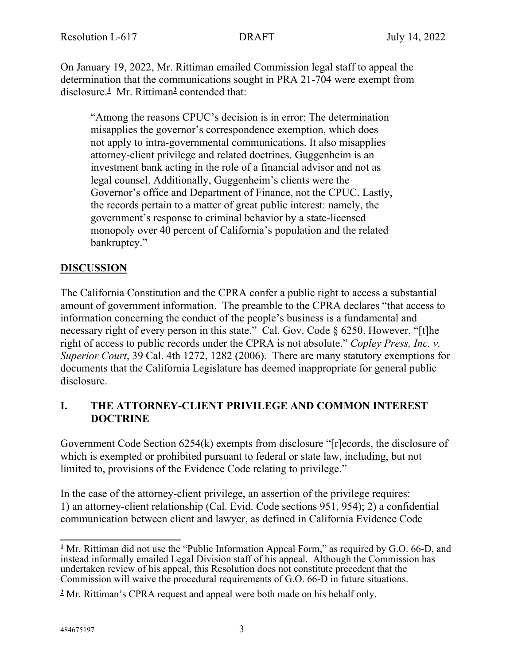On January 19, 2022, Mr. Rittiman emailed Commission legal staff to appeal the determination that the communications sought in PRA 21-704 were exempt from disclosure.**<sup>1</sup>** Mr. Rittiman**<sup>2</sup>** contended that:

"Among the reasons CPUC's decision is in error: The determination misapplies the governor's correspondence exemption, which does not apply to intra-governmental communications. It also misapplies attorney-client privilege and related doctrines. Guggenheim is an investment bank acting in the role of a financial advisor and not as legal counsel. Additionally, Guggenheim's clients were the Governor's office and Department of Finance, not the CPUC. Lastly, the records pertain to a matter of great public interest: namely, the government's response to criminal behavior by a state-licensed monopoly over 40 percent of California's population and the related bankruptcy."

## **DISCUSSION**

The California Constitution and the CPRA confer a public right to access a substantial amount of government information. The preamble to the CPRA declares "that access to information concerning the conduct of the people's business is a fundamental and necessary right of every person in this state." Cal. Gov. Code § 6250. However, "[t]he right of access to public records under the CPRA is not absolute." *Copley Press, Inc. v. Superior Court*, 39 Cal. 4th 1272, 1282 (2006). There are many statutory exemptions for documents that the California Legislature has deemed inappropriate for general public disclosure.

### **I. THE ATTORNEY-CLIENT PRIVILEGE AND COMMON INTEREST DOCTRINE**

Government Code Section 6254(k) exempts from disclosure "[r]ecords, the disclosure of which is exempted or prohibited pursuant to federal or state law, including, but not limited to, provisions of the Evidence Code relating to privilege."

In the case of the attorney-client privilege, an assertion of the privilege requires: 1) an attorney-client relationship (Cal. Evid. Code sections 951, 954); 2) a confidential communication between client and lawyer, as defined in California Evidence Code

**<sup>1</sup>** Mr. Rittiman did not use the "Public Information Appeal Form," as required by G.O. 66-D, and instead informally emailed Legal Division staff of his appeal. Although the Commission has undertaken review of his appeal, this Resolution does not constitute precedent that the Commission will waive the procedural requirements of G.O. 66-D in future situations.

**<sup>2</sup>** Mr. Rittiman's CPRA request and appeal were both made on his behalf only.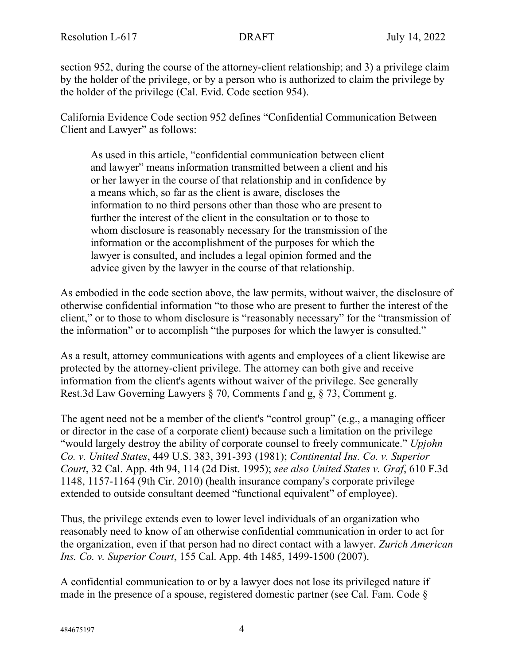section 952, during the course of the attorney-client relationship; and 3) a privilege claim by the holder of the privilege, or by a person who is authorized to claim the privilege by the holder of the privilege (Cal. Evid. Code section 954).

California Evidence Code section 952 defines "Confidential Communication Between Client and Lawyer" as follows:

As used in this article, "confidential communication between client and lawyer" means information transmitted between a client and his or her lawyer in the course of that relationship and in confidence by a means which, so far as the client is aware, discloses the information to no third persons other than those who are present to further the interest of the client in the consultation or to those to whom disclosure is reasonably necessary for the transmission of the information or the accomplishment of the purposes for which the lawyer is consulted, and includes a legal opinion formed and the advice given by the lawyer in the course of that relationship.

As embodied in the code section above, the law permits, without waiver, the disclosure of otherwise confidential information "to those who are present to further the interest of the client," or to those to whom disclosure is "reasonably necessary" for the "transmission of the information" or to accomplish "the purposes for which the lawyer is consulted."

As a result, attorney communications with agents and employees of a client likewise are protected by the attorney-client privilege. The attorney can both give and receive information from the client's agents without waiver of the privilege. See generally Rest.3d Law Governing Lawyers § 70, Comments f and g, § 73, Comment g.

The agent need not be a member of the client's "control group" (e.g., a managing officer or director in the case of a corporate client) because such a limitation on the privilege "would largely destroy the ability of corporate counsel to freely communicate." *Upjohn Co. v. United States*, 449 U.S. 383, 391-393 (1981); *Continental Ins. Co. v. Superior Court*, 32 Cal. App. 4th 94, 114 (2d Dist. 1995); *see also United States v. Graf*, 610 F.3d 1148, 1157-1164 (9th Cir. 2010) (health insurance company's corporate privilege extended to outside consultant deemed "functional equivalent" of employee).

Thus, the privilege extends even to lower level individuals of an organization who reasonably need to know of an otherwise confidential communication in order to act for the organization, even if that person had no direct contact with a lawyer. *Zurich American Ins. Co. v. Superior Court*, 155 Cal. App. 4th 1485, 1499-1500 (2007).

A confidential communication to or by a lawyer does not lose its privileged nature if made in the presence of a spouse, registered domestic partner (see Cal. Fam. Code §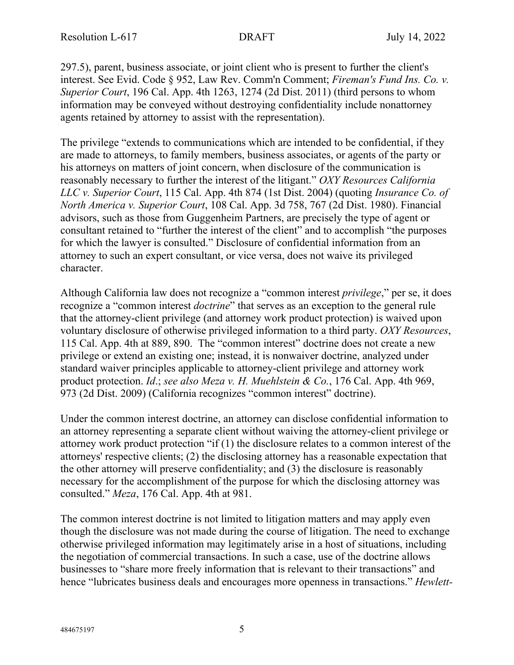297.5), parent, business associate, or joint client who is present to further the client's interest. See Evid. Code § 952, Law Rev. Comm'n Comment; *Fireman's Fund Ins. Co. v. Superior Court*, 196 Cal. App. 4th 1263, 1274 (2d Dist. 2011) (third persons to whom information may be conveyed without destroying confidentiality include nonattorney agents retained by attorney to assist with the representation).

The privilege "extends to communications which are intended to be confidential, if they are made to attorneys, to family members, business associates, or agents of the party or his attorneys on matters of joint concern, when disclosure of the communication is reasonably necessary to further the interest of the litigant." *OXY Resources California LLC v. Superior Court*, 115 Cal. App. 4th 874 (1st Dist. 2004) (quoting *Insurance Co. of North America v. Superior Court*, 108 Cal. App. 3d 758, 767 (2d Dist. 1980). Financial advisors, such as those from Guggenheim Partners, are precisely the type of agent or consultant retained to "further the interest of the client" and to accomplish "the purposes for which the lawyer is consulted." Disclosure of confidential information from an attorney to such an expert consultant, or vice versa, does not waive its privileged character.

Although California law does not recognize a "common interest *privilege*," per se, it does recognize a "common interest *doctrine*" that serves as an exception to the general rule that the attorney-client privilege (and attorney work product protection) is waived upon voluntary disclosure of otherwise privileged information to a third party. *OXY Resources*, 115 Cal. App. 4th at 889, 890. The "common interest" doctrine does not create a new privilege or extend an existing one; instead, it is nonwaiver doctrine, analyzed under standard waiver principles applicable to attorney-client privilege and attorney work product protection. *Id*.; *see also Meza v. H. Muehlstein & Co.*, 176 Cal. App. 4th 969, 973 (2d Dist. 2009) (California recognizes "common interest" doctrine).

Under the common interest doctrine, an attorney can disclose confidential information to an attorney representing a separate client without waiving the attorney-client privilege or attorney work product protection "if (1) the disclosure relates to a common interest of the attorneys' respective clients; (2) the disclosing attorney has a reasonable expectation that the other attorney will preserve confidentiality; and (3) the disclosure is reasonably necessary for the accomplishment of the purpose for which the disclosing attorney was consulted." *Meza*, 176 Cal. App. 4th at 981.

The common interest doctrine is not limited to litigation matters and may apply even though the disclosure was not made during the course of litigation. The need to exchange otherwise privileged information may legitimately arise in a host of situations, including the negotiation of commercial transactions. In such a case, use of the doctrine allows businesses to "share more freely information that is relevant to their transactions" and hence "lubricates business deals and encourages more openness in transactions." *Hewlett-*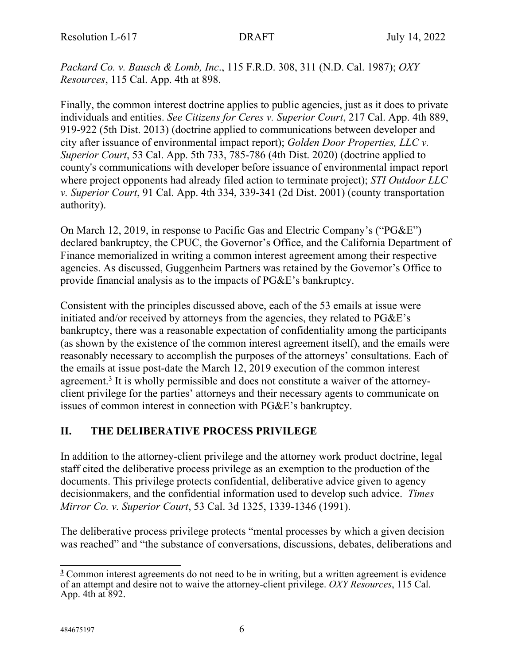*Packard Co. v. Bausch & Lomb, Inc*., 115 F.R.D. 308, 311 (N.D. Cal. 1987); *OXY Resources*, 115 Cal. App. 4th at 898.

Finally, the common interest doctrine applies to public agencies, just as it does to private individuals and entities. *See Citizens for Ceres v. Superior Court*, 217 Cal. App. 4th 889, 919-922 (5th Dist. 2013) (doctrine applied to communications between developer and city after issuance of environmental impact report); *Golden Door Properties, LLC v. Superior Court*, 53 Cal. App. 5th 733, 785-786 (4th Dist. 2020) (doctrine applied to county's communications with developer before issuance of environmental impact report where project opponents had already filed action to terminate project); *STI Outdoor LLC v. Superior Court*, 91 Cal. App. 4th 334, 339-341 (2d Dist. 2001) (county transportation authority).

On March 12, 2019, in response to Pacific Gas and Electric Company's ("PG&E") declared bankruptcy, the CPUC, the Governor's Office, and the California Department of Finance memorialized in writing a common interest agreement among their respective agencies. As discussed, Guggenheim Partners was retained by the Governor's Office to provide financial analysis as to the impacts of PG&E's bankruptcy.

Consistent with the principles discussed above, each of the 53 emails at issue were initiated and/or received by attorneys from the agencies, they related to PG&E's bankruptcy, there was a reasonable expectation of confidentiality among the participants (as shown by the existence of the common interest agreement itself), and the emails were reasonably necessary to accomplish the purposes of the attorneys' consultations. Each of the emails at issue post-date the March 12, 2019 execution of the common interest agreement.<sup>3</sup> It is wholly permissible and does not constitute a waiver of the attorneyclient privilege for the parties' attorneys and their necessary agents to communicate on issues of common interest in connection with PG&E's bankruptcy.

# **II. THE DELIBERATIVE PROCESS PRIVILEGE**

In addition to the attorney-client privilege and the attorney work product doctrine, legal staff cited the deliberative process privilege as an exemption to the production of the documents. This privilege protects confidential, deliberative advice given to agency decisionmakers, and the confidential information used to develop such advice. *Times Mirror Co. v. Superior Court*, 53 Cal. 3d 1325, 1339-1346 (1991).

The deliberative process privilege protects "mental processes by which a given decision was reached" and "the substance of conversations, discussions, debates, deliberations and

**<sup>3</sup>** Common interest agreements do not need to be in writing, but a written agreement is evidence of an attempt and desire not to waive the attorney-client privilege. *OXY Resources*, 115 Cal. App. 4th at 892.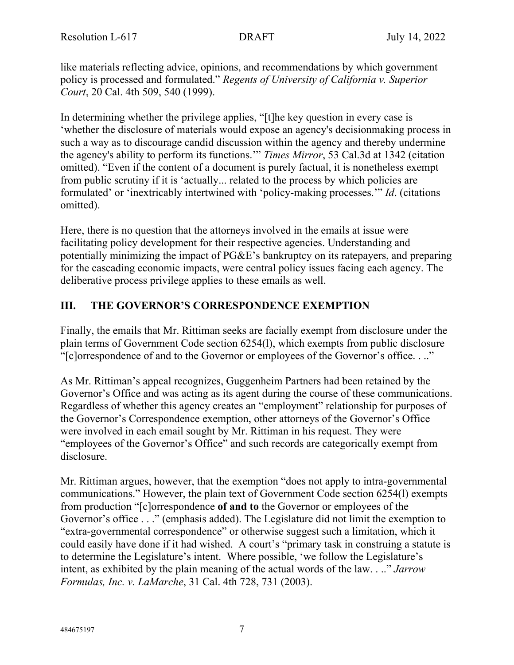like materials reflecting advice, opinions, and recommendations by which government policy is processed and formulated." *Regents of University of California v. Superior Court*, 20 Cal. 4th 509, 540 (1999).

In determining whether the privilege applies, "[t]he key question in every case is 'whether the disclosure of materials would expose an agency's decisionmaking process in such a way as to discourage candid discussion within the agency and thereby undermine the agency's ability to perform its functions.'" *Times Mirror*, 53 Cal.3d at 1342 (citation omitted). "Even if the content of a document is purely factual, it is nonetheless exempt from public scrutiny if it is 'actually... related to the process by which policies are formulated' or 'inextricably intertwined with 'policy-making processes.'" *Id*. (citations omitted).

Here, there is no question that the attorneys involved in the emails at issue were facilitating policy development for their respective agencies. Understanding and potentially minimizing the impact of PG&E's bankruptcy on its ratepayers, and preparing for the cascading economic impacts, were central policy issues facing each agency. The deliberative process privilege applies to these emails as well.

## **III. THE GOVERNOR'S CORRESPONDENCE EXEMPTION**

Finally, the emails that Mr. Rittiman seeks are facially exempt from disclosure under the plain terms of Government Code section 6254(l), which exempts from public disclosure "[c]orrespondence of and to the Governor or employees of the Governor's office. . .."

As Mr. Rittiman's appeal recognizes, Guggenheim Partners had been retained by the Governor's Office and was acting as its agent during the course of these communications. Regardless of whether this agency creates an "employment" relationship for purposes of the Governor's Correspondence exemption, other attorneys of the Governor's Office were involved in each email sought by Mr. Rittiman in his request. They were "employees of the Governor's Office" and such records are categorically exempt from disclosure.

Mr. Rittiman argues, however, that the exemption "does not apply to intra-governmental communications." However, the plain text of Government Code section 6254(l) exempts from production "[c]orrespondence **of and to** the Governor or employees of the Governor's office . . ." (emphasis added). The Legislature did not limit the exemption to "extra-governmental correspondence" or otherwise suggest such a limitation, which it could easily have done if it had wished. A court's "primary task in construing a statute is to determine the Legislature's intent. Where possible, 'we follow the Legislature's intent, as exhibited by the plain meaning of the actual words of the law. . .." *Jarrow Formulas, Inc. v. LaMarche*, 31 Cal. 4th 728, 731 (2003).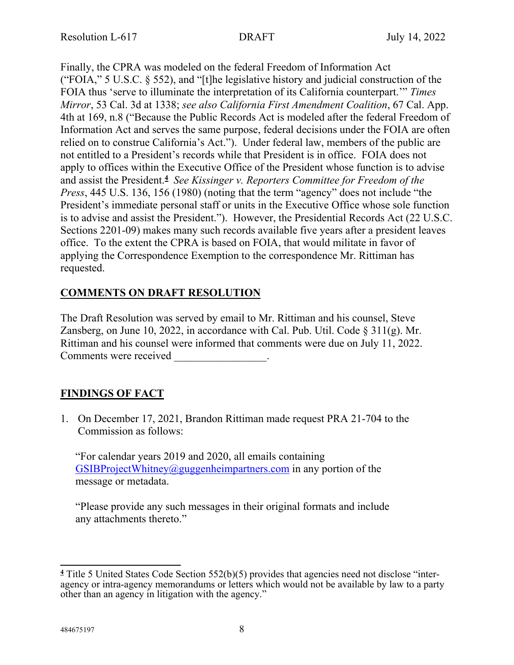Finally, the CPRA was modeled on the federal Freedom of Information Act ("FOIA," 5 U.S.C. § 552), and "[t]he legislative history and judicial construction of the FOIA thus 'serve to illuminate the interpretation of its California counterpart.'" *Times Mirror*, 53 Cal. 3d at 1338; *see also California First Amendment Coalition*, 67 Cal. App. 4th at 169, n.8 ("Because the Public Records Act is modeled after the federal Freedom of Information Act and serves the same purpose, federal decisions under the FOIA are often relied on to construe California's Act."). Under federal law, members of the public are not entitled to a President's records while that President is in office. FOIA does not apply to offices within the Executive Office of the President whose function is to advise and assist the President.**<sup>4</sup>** *See Kissinger v. Reporters Committee for Freedom of the Press*, 445 U.S. 136, 156 (1980) (noting that the term "agency" does not include "the President's immediate personal staff or units in the Executive Office whose sole function is to advise and assist the President."). However, the Presidential Records Act (22 U.S.C. Sections 2201-09) makes many such records available five years after a president leaves office. To the extent the CPRA is based on FOIA, that would militate in favor of applying the Correspondence Exemption to the correspondence Mr. Rittiman has requested.

## **COMMENTS ON DRAFT RESOLUTION**

The Draft Resolution was served by email to Mr. Rittiman and his counsel, Steve Zansberg, on June 10, 2022, in accordance with Cal. Pub. Util. Code § 311(g). Mr. Rittiman and his counsel were informed that comments were due on July 11, 2022. Comments were received \_\_\_\_\_\_\_\_\_\_\_\_\_\_.

# **FINDINGS OF FACT**

1. On December 17, 2021, Brandon Rittiman made request PRA 21-704 to the Commission as follows:

"For calendar years 2019 and 2020, all emails containing  $GSIBProjectWhitney@guggenheimpartners.com$  in any portion of the message or metadata.

"Please provide any such messages in their original formats and include any attachments thereto."

**<sup>4</sup>** Title 5 United States Code Section 552(b)(5) provides that agencies need not disclose "interagency or intra-agency memorandums or letters which would not be available by law to a party other than an agency in litigation with the agency."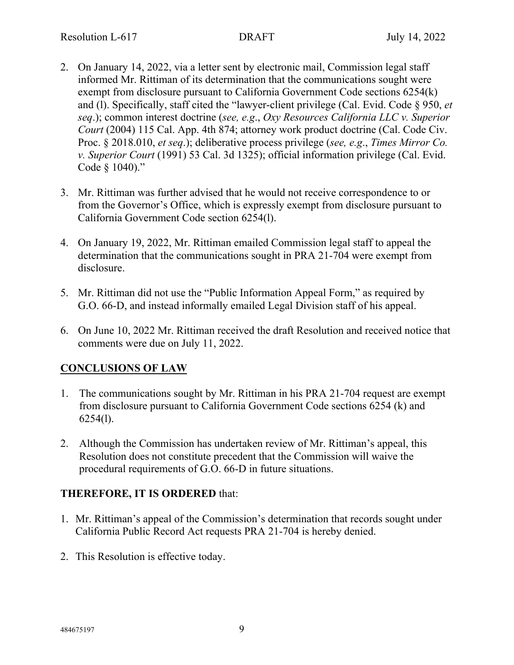- 2. On January 14, 2022, via a letter sent by electronic mail, Commission legal staff informed Mr. Rittiman of its determination that the communications sought were exempt from disclosure pursuant to California Government Code sections 6254(k) and (l). Specifically, staff cited the "lawyer-client privilege (Cal. Evid. Code § 950, *et seq*.); common interest doctrine (*see, e.g*., *Oxy Resources California LLC v. Superior Court* (2004) 115 Cal. App. 4th 874; attorney work product doctrine (Cal. Code Civ. Proc. § 2018.010, *et seq*.); deliberative process privilege (*see, e.g*., *Times Mirror Co. v. Superior Court* (1991) 53 Cal. 3d 1325); official information privilege (Cal. Evid. Code § 1040)."
- 3. Mr. Rittiman was further advised that he would not receive correspondence to or from the Governor's Office, which is expressly exempt from disclosure pursuant to California Government Code section 6254(l).
- 4. On January 19, 2022, Mr. Rittiman emailed Commission legal staff to appeal the determination that the communications sought in PRA 21-704 were exempt from disclosure.
- 5. Mr. Rittiman did not use the "Public Information Appeal Form," as required by G.O. 66-D, and instead informally emailed Legal Division staff of his appeal.
- 6. On June 10, 2022 Mr. Rittiman received the draft Resolution and received notice that comments were due on July 11, 2022.

## **CONCLUSIONS OF LAW**

- 1. The communications sought by Mr. Rittiman in his PRA 21-704 request are exempt from disclosure pursuant to California Government Code sections 6254 (k) and 6254(l).
- 2. Although the Commission has undertaken review of Mr. Rittiman's appeal, this Resolution does not constitute precedent that the Commission will waive the procedural requirements of G.O. 66-D in future situations.

## **THEREFORE, IT IS ORDERED** that:

- 1. Mr. Rittiman's appeal of the Commission's determination that records sought under California Public Record Act requests PRA 21-704 is hereby denied.
- 2. This Resolution is effective today.